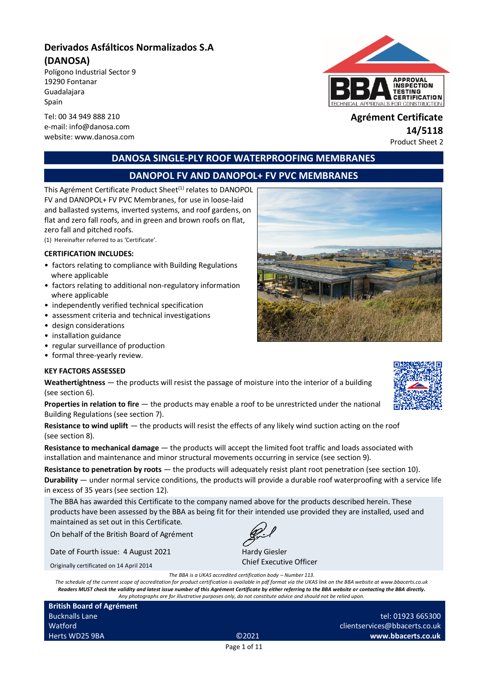# **Derivados Asfálticos Normalizados S.A (DANOSA)**

Polígono Industrial Sector 9 19290 Fontanar Guadalajara Spain

Tel: 00 34 949 888 210 **Agrément Certificate** website: www.danosa.com



# e-mail: info@danosa.com **14/5118**<br> **14/5118** website: www.danosa.com **14/5118**

**DANOSA SINGLE-PLY ROOF WATERPROOFING MEMBRANES**

# **DANOPOL FV AND DANOPOL+ FV PVC MEMBRANES**

This Agrément Certificate Product Sheet<sup>(1)</sup> relates to DANOPOL FV and DANOPOL+ FV PVC Membranes, for use in loose-laid and ballasted systems, inverted systems, and roof gardens, on flat and zero fall roofs, and in green and brown roofs on flat, zero fall and pitched roofs.

(1) Hereinafter referred to as 'Certificate'.

#### **CERTIFICATION INCLUDES:**

- factors relating to compliance with Building Regulations where applicable
- factors relating to additional non-regulatory information where applicable
- independently verified technical specification
- assessment criteria and technical investigations
- design considerations
- installation guidance
- regular surveillance of production
- formal three-yearly review.

#### **KEY FACTORS ASSESSED**

**Weathertightness** — the products will resist the passage of moisture into the interior of a building (see section 6).

**Properties in relation to fire** — the products may enable a roof to be unrestricted under the national Building Regulations (see section 7).

**Resistance to wind uplift** — the products will resist the effects of any likely wind suction acting on the roof (see section 8).

**Resistance to mechanical damage** — the products will accept the limited foot traffic and loads associated with installation and maintenance and minor structural movements occurring in service (see section 9).

**Resistance to penetration by roots** — the products will adequately resist plant root penetration (see section 10).

**Durability** — under normal service conditions, the products will provide a durable roof waterproofing with a service life in excess of 35 years (see section 12).

The BBA has awarded this Certificate to the company named above for the products described herein. These products have been assessed by the BBA as being fit for their intended use provided they are installed, used and maintained as set out in this Certificate.

On behalf of the British Board of Agrément

Date of Fourth issue: 4 August 2021

Originally certificated on 14 April 2014

Hardy Giesler Chief Executive Officer

*The BBA is a UKAS accredited certification body – Number 113.*

*The schedule of the current scope of accreditation for product certification is available in pdf format via the UKAS link on the BBA website at www.bbacerts.co.uk Readers MUST check the validity and latest issue number of this Agrément Certificate by either referring to the BBA website or contacting the BBA directly. Any photographs are for illustrative purposes only, do not constitute advice and should not be relied upon.*

**British Board of Agrément** Bucknalls Lane Watford Herts WD25 9BA ©2021

tel: 01923 665300 clientservices@bbacerts.co.uk **www.bbacerts.co.uk**

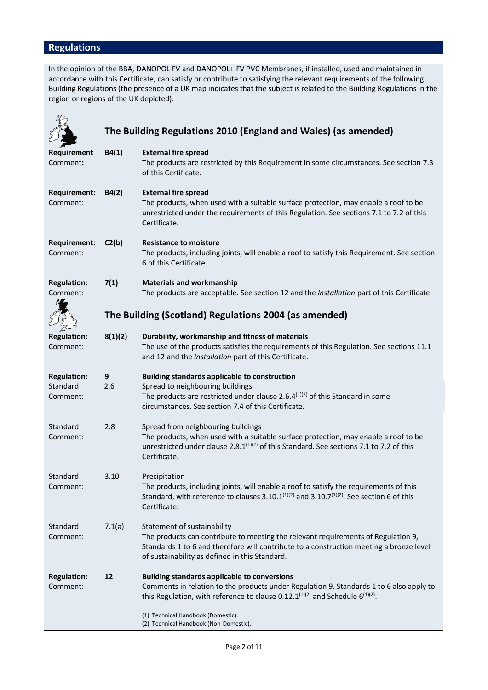# **Regulations**

In the opinion of the BBA, DANOPOL FV and DANOPOL+ FV PVC Membranes, if installed, used and maintained in accordance with this Certificate, can satisfy or contribute to satisfying the relevant requirements of the following Building Regulations (the presence of a UK map indicates that the subject is related to the Building Regulations in the region or regions of the UK depicted):

|                                             | The Building Regulations 2010 (England and Wales) (as amended) |                                                                                                                                                                                                                                                               |  |  |
|---------------------------------------------|----------------------------------------------------------------|---------------------------------------------------------------------------------------------------------------------------------------------------------------------------------------------------------------------------------------------------------------|--|--|
| Requirement<br>Comment:                     | B4(1)                                                          | <b>External fire spread</b><br>The products are restricted by this Requirement in some circumstances. See section 7.3<br>of this Certificate.                                                                                                                 |  |  |
| <b>Requirement:</b><br>Comment:             | B4(2)                                                          | <b>External fire spread</b><br>The products, when used with a suitable surface protection, may enable a roof to be<br>unrestricted under the requirements of this Regulation. See sections 7.1 to 7.2 of this<br>Certificate.                                 |  |  |
| <b>Requirement:</b><br>Comment:             | C2(b)                                                          | <b>Resistance to moisture</b><br>The products, including joints, will enable a roof to satisfy this Requirement. See section<br>6 of this Certificate.                                                                                                        |  |  |
| <b>Regulation:</b><br>Comment:              | 7(1)                                                           | <b>Materials and workmanship</b><br>The products are acceptable. See section 12 and the Installation part of this Certificate.                                                                                                                                |  |  |
|                                             |                                                                | The Building (Scotland) Regulations 2004 (as amended)                                                                                                                                                                                                         |  |  |
| <b>Regulation:</b><br>Comment:              | 8(1)(2)                                                        | Durability, workmanship and fitness of materials<br>The use of the products satisfies the requirements of this Regulation. See sections 11.1<br>and 12 and the Installation part of this Certificate.                                                         |  |  |
| <b>Regulation:</b><br>Standard:<br>Comment: | 9<br>2.6                                                       | <b>Building standards applicable to construction</b><br>Spread to neighbouring buildings<br>The products are restricted under clause 2.6. $4^{(1)(2)}$ of this Standard in some<br>circumstances. See section 7.4 of this Certificate.                        |  |  |
| Standard:<br>Comment:                       | 2.8                                                            | Spread from neighbouring buildings<br>The products, when used with a suitable surface protection, may enable a roof to be<br>unrestricted under clause 2.8. $1^{(1)(2)}$ of this Standard. See sections 7.1 to 7.2 of this<br>Certificate.                    |  |  |
| Standard:<br>Comment:                       | 3.10                                                           | Precipitation<br>The products, including joints, will enable a roof to satisfy the requirements of this<br>Standard, with reference to clauses 3.10.1 $(1)(2)$ and 3.10.7 $(1)(2)$ . See section 6 of this<br>Certificate.                                    |  |  |
| Standard:<br>Comment:                       | 7.1(a)                                                         | Statement of sustainability<br>The products can contribute to meeting the relevant requirements of Regulation 9,<br>Standards 1 to 6 and therefore will contribute to a construction meeting a bronze level<br>of sustainability as defined in this Standard. |  |  |
| <b>Regulation:</b><br>Comment:              | 12                                                             | <b>Building standards applicable to conversions</b><br>Comments in relation to the products under Regulation 9, Standards 1 to 6 also apply to<br>this Regulation, with reference to clause 0.12.1 <sup>(1)(2)</sup> and Schedule $6^{(1)(2)}$ .              |  |  |
|                                             |                                                                | (1) Technical Handbook (Domestic).<br>(2) Technical Handbook (Non-Domestic).                                                                                                                                                                                  |  |  |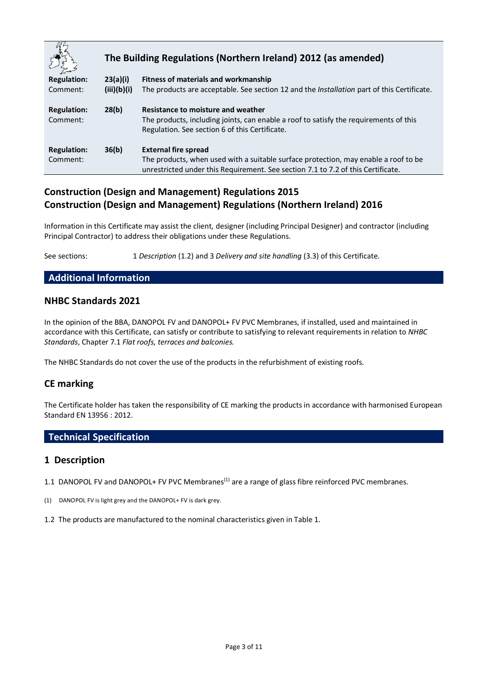|                                | The Building Regulations (Northern Ireland) 2012 (as amended) |                                                                                                                                                                               |  |
|--------------------------------|---------------------------------------------------------------|-------------------------------------------------------------------------------------------------------------------------------------------------------------------------------|--|
| <b>Regulation:</b>             | 23(a)(i)                                                      | Fitness of materials and workmanship                                                                                                                                          |  |
| Comment:                       | (iii)(b)(i)                                                   | The products are acceptable. See section 12 and the <i>Installation</i> part of this Certificate.                                                                             |  |
| <b>Regulation:</b><br>Comment: | 28(b)                                                         | Resistance to moisture and weather<br>The products, including joints, can enable a roof to satisfy the requirements of this<br>Regulation. See section 6 of this Certificate. |  |
| <b>Regulation:</b>             | 36(b)                                                         | <b>External fire spread</b>                                                                                                                                                   |  |
| Comment:                       |                                                               | The products, when used with a suitable surface protection, may enable a roof to be                                                                                           |  |
|                                |                                                               | unrestricted under this Requirement. See section 7.1 to 7.2 of this Certificate.                                                                                              |  |

# **Construction (Design and Management) Regulations 2015 Construction (Design and Management) Regulations (Northern Ireland) 2016**

Information in this Certificate may assist the client, designer (including Principal Designer) and contractor (including Principal Contractor) to address their obligations under these Regulations.

See sections: 1 *Description* (1.2) and 3 *Delivery and site handling* (3.3) of this Certificate.

#### **Additional Information**

#### **NHBC Standards 2021**

In the opinion of the BBA, DANOPOL FV and DANOPOL+ FV PVC Membranes, if installed, used and maintained in accordance with this Certificate, can satisfy or contribute to satisfying to relevant requirements in relation to *NHBC Standards*, Chapter 7.1 *Flat roofs, terraces and balconies.*

The NHBC Standards do not cover the use of the products in the refurbishment of existing roofs.

# **CE marking**

The Certificate holder has taken the responsibility of CE marking the products in accordance with harmonised European Standard EN 13956 : 2012.

# **Technical Specification**

#### **1 Description**

- 1.1 DANOPOL FV and DANOPOL+ FV PVC Membranes<sup>(1)</sup> are a range of glass fibre reinforced PVC membranes.
- (1) DANOPOL FV is light grey and the DANOPOL+ FV is dark grey.
- 1.2 The products are manufactured to the nominal characteristics given in Table 1.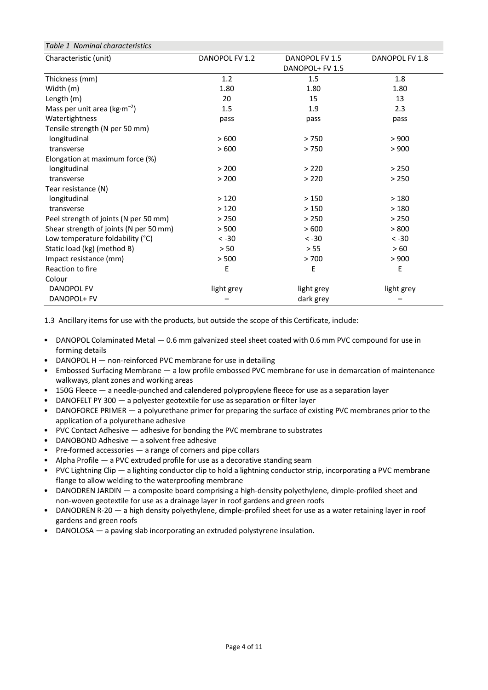| Table 1 Nominal characteristics        |                                                                       |            |            |  |  |
|----------------------------------------|-----------------------------------------------------------------------|------------|------------|--|--|
| Characteristic (unit)                  | DANOPOL FV 1.2<br>DANOPOL FV 1.5<br>DANOPOL FV 1.8<br>DANOPOL+ FV 1.5 |            |            |  |  |
| Thickness (mm)                         | 1.2                                                                   | 1.5        | 1.8        |  |  |
| Width (m)                              | 1.80                                                                  | 1.80       | 1.80       |  |  |
| Length (m)                             | 20                                                                    | 15         | 13         |  |  |
| Mass per unit area ( $kg·m-2$ )        | 1.5                                                                   | 1.9        | 2.3        |  |  |
| Watertightness                         | pass                                                                  | pass       | pass       |  |  |
| Tensile strength (N per 50 mm)         |                                                                       |            |            |  |  |
| longitudinal                           | >600                                                                  | >750       | > 900      |  |  |
| transverse                             | >600                                                                  | >750       | > 900      |  |  |
| Elongation at maximum force (%)        |                                                                       |            |            |  |  |
| longitudinal                           | > 200                                                                 | > 220      | > 250      |  |  |
| transverse                             | > 200                                                                 | > 220      | > 250      |  |  |
| Tear resistance (N)                    |                                                                       |            |            |  |  |
| longitudinal                           | >120                                                                  | >150       | >180       |  |  |
| transverse                             | >120                                                                  | >150       | >180       |  |  |
| Peel strength of joints (N per 50 mm)  | > 250                                                                 | > 250      | > 250      |  |  |
| Shear strength of joints (N per 50 mm) | > 500                                                                 | >600       | > 800      |  |  |
| Low temperature foldability (°C)       | $< -30$                                                               | $< -30$    | $< -30$    |  |  |
| Static load (kg) (method B)            | > 50                                                                  | > 55       | > 60       |  |  |
| Impact resistance (mm)                 | > 500                                                                 | > 700      | > 900      |  |  |
| Reaction to fire                       | Е                                                                     | E          | E          |  |  |
| Colour                                 |                                                                       |            |            |  |  |
| DANOPOL FV                             | light grey                                                            | light grey | light grey |  |  |
| DANOPOL+ FV                            |                                                                       | dark grey  |            |  |  |

1.3 Ancillary items for use with the products, but outside the scope of this Certificate, include:

- DANOPOL Colaminated Metal 0.6 mm galvanized steel sheet coated with 0.6 mm PVC compound for use in forming details
- DANOPOL H non-reinforced PVC membrane for use in detailing
- Embossed Surfacing Membrane a low profile embossed PVC membrane for use in demarcation of maintenance walkways, plant zones and working areas
- 150G Fleece a needle-punched and calendered polypropylene fleece for use as a separation layer
- DANOFELT PY 300 a polyester geotextile for use as separation or filter layer
- DANOFORCE PRIMER a polyurethane primer for preparing the surface of existing PVC membranes prior to the application of a polyurethane adhesive
- PVC Contact Adhesive adhesive for bonding the PVC membrane to substrates
- DANOBOND Adhesive a solvent free adhesive
- $Pre-formed$  accessories  $-$  a range of corners and pipe collars
- Alpha Profile a PVC extruded profile for use as a decorative standing seam
- PVC Lightning Clip a lighting conductor clip to hold a lightning conductor strip, incorporating a PVC membrane flange to allow welding to the waterproofing membrane
- DANODREN JARDIN a composite board comprising a high-density polyethylene, dimple-profiled sheet and non-woven geotextile for use as a drainage layer in roof gardens and green roofs
- DANODREN R-20 a high density polyethylene, dimple-profiled sheet for use as a water retaining layer in roof gardens and green roofs
- DANOLOSA a paving slab incorporating an extruded polystyrene insulation.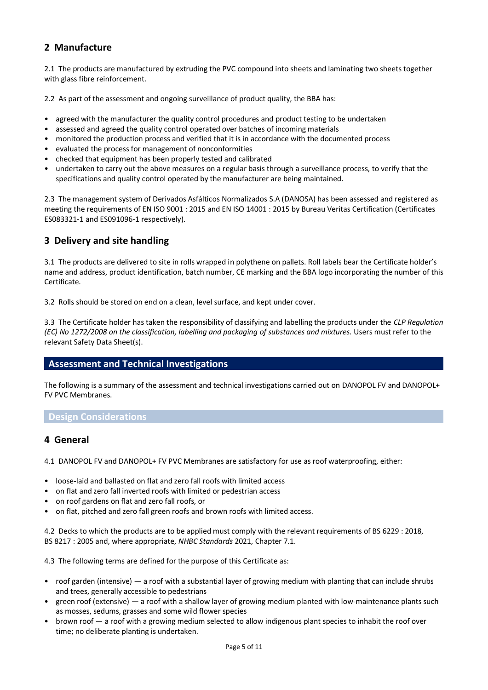# **2 Manufacture**

2.1 The products are manufactured by extruding the PVC compound into sheets and laminating two sheets together with glass fibre reinforcement.

2.2 As part of the assessment and ongoing surveillance of product quality, the BBA has:

- agreed with the manufacturer the quality control procedures and product testing to be undertaken
- assessed and agreed the quality control operated over batches of incoming materials
- monitored the production process and verified that it is in accordance with the documented process
- evaluated the process for management of nonconformities
- checked that equipment has been properly tested and calibrated
- undertaken to carry out the above measures on a regular basis through a surveillance process, to verify that the specifications and quality control operated by the manufacturer are being maintained.

2.3 The management system of Derivados Asfálticos Normalizados S.A (DANOSA) has been assessed and registered as meeting the requirements of EN ISO 9001 : 2015 and EN ISO 14001 : 2015 by Bureau Veritas Certification (Certificates ES083321-1 and ES091096-1 respectively).

# **3 Delivery and site handling**

3.1 The products are delivered to site in rolls wrapped in polythene on pallets. Roll labels bear the Certificate holder's name and address, product identification, batch number, CE marking and the BBA logo incorporating the number of this Certificate.

3.2 Rolls should be stored on end on a clean, level surface, and kept under cover.

3.3 The Certificate holder has taken the responsibility of classifying and labelling the products under the *CLP Regulation (EC) No 1272/2008 on the classification, labelling and packaging of substances and mixtures.* Users must refer to the relevant Safety Data Sheet(s).

#### **Assessment and Technical Investigations**

The following is a summary of the assessment and technical investigations carried out on DANOPOL FV and DANOPOL+ FV PVC Membranes.

#### **Design Considerations**

#### **4 General**

4.1 DANOPOL FV and DANOPOL+ FV PVC Membranes are satisfactory for use as roof waterproofing, either:

- loose-laid and ballasted on flat and zero fall roofs with limited access
- on flat and zero fall inverted roofs with limited or pedestrian access
- on roof gardens on flat and zero fall roofs, or
- on flat, pitched and zero fall green roofs and brown roofs with limited access.

4.2 Decks to which the products are to be applied must comply with the relevant requirements of BS 6229 : 2018, BS 8217 : 2005 and, where appropriate, *NHBC Standards* 2021, Chapter 7.1.

4.3 The following terms are defined for the purpose of this Certificate as:

- roof garden (intensive) a roof with a substantial layer of growing medium with planting that can include shrubs and trees, generally accessible to pedestrians
- green roof (extensive) a roof with a shallow layer of growing medium planted with low-maintenance plants such as mosses, sedums, grasses and some wild flower species
- brown roof a roof with a growing medium selected to allow indigenous plant species to inhabit the roof over time; no deliberate planting is undertaken.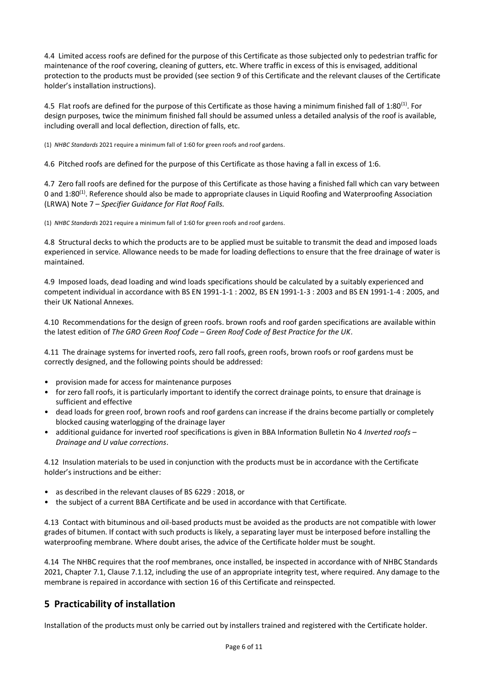4.4 Limited access roofs are defined for the purpose of this Certificate as those subjected only to pedestrian traffic for maintenance of the roof covering, cleaning of gutters, etc. Where traffic in excess of this is envisaged, additional protection to the products must be provided (see section 9 of this Certificate and the relevant clauses of the Certificate holder's installation instructions).

4.5 Flat roofs are defined for the purpose of this Certificate as those having a minimum finished fall of 1:80<sup>(1)</sup>. For design purposes, twice the minimum finished fall should be assumed unless a detailed analysis of the roof is available, including overall and local deflection, direction of falls, etc.

(1) *NHBC Standards* 2021 require a minimum fall of 1:60 for green roofs and roof gardens.

4.6 Pitched roofs are defined for the purpose of this Certificate as those having a fall in excess of 1:6.

4.7 Zero fall roofs are defined for the purpose of this Certificate as those having a finished fall which can vary between 0 and 1:80<sup>(1)</sup>. Reference should also be made to appropriate clauses in Liquid Roofing and Waterproofing Association (LRWA) Note 7 *– Specifier Guidance for Flat Roof Falls.*

(1) *NHBC Standards* 2021 require a minimum fall of 1:60 for green roofs and roof gardens.

4.8 Structural decks to which the products are to be applied must be suitable to transmit the dead and imposed loads experienced in service. Allowance needs to be made for loading deflections to ensure that the free drainage of water is maintained.

4.9 Imposed loads, dead loading and wind loads specifications should be calculated by a suitably experienced and competent individual in accordance with BS EN 1991-1-1 : 2002, BS EN 1991-1-3 : 2003 and BS EN 1991-1-4 : 2005, and their UK National Annexes.

4.10 Recommendations for the design of green roofs. brown roofs and roof garden specifications are available within the latest edition of *The GRO Green Roof Code – Green Roof Code of Best Practice for the UK*.

4.11 The drainage systems for inverted roofs, zero fall roofs, green roofs, brown roofs or roof gardens must be correctly designed, and the following points should be addressed:

- provision made for access for maintenance purposes
- for zero fall roofs, it is particularly important to identify the correct drainage points, to ensure that drainage is sufficient and effective
- dead loads for green roof, brown roofs and roof gardens can increase if the drains become partially or completely blocked causing waterlogging of the drainage layer
- additional guidance for inverted roof specifications is given in BBA Information Bulletin No 4 *Inverted roofs – Drainage and U value corrections*.

4.12 Insulation materials to be used in conjunction with the products must be in accordance with the Certificate holder's instructions and be either:

- as described in the relevant clauses of BS 6229 : 2018, or
- the subject of a current BBA Certificate and be used in accordance with that Certificate.

4.13 Contact with bituminous and oil-based products must be avoided as the products are not compatible with lower grades of bitumen. If contact with such products is likely, a separating layer must be interposed before installing the waterproofing membrane. Where doubt arises, the advice of the Certificate holder must be sought.

4.14 The NHBC requires that the roof membranes, once installed, be inspected in accordance with of NHBC Standards 2021, Chapter 7.1, Clause 7.1.12, including the use of an appropriate integrity test, where required. Any damage to the membrane is repaired in accordance with section 16 of this Certificate and reinspected.

# **5 Practicability of installation**

Installation of the products must only be carried out by installers trained and registered with the Certificate holder.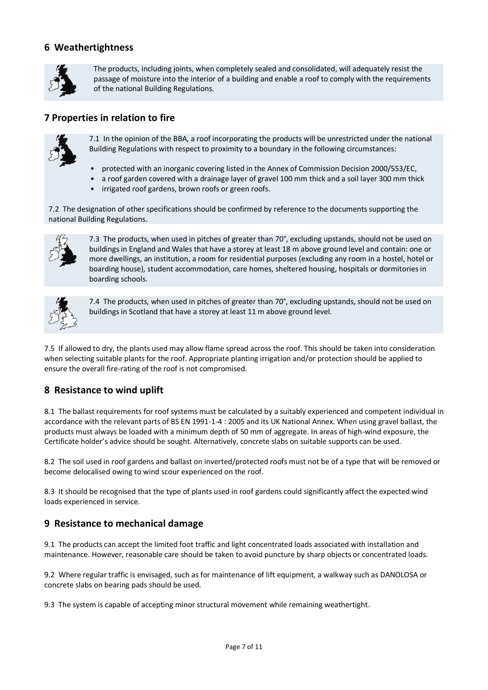# **6 Weathertightness**



The products, including joints, when completely sealed and consolidated, will adequately resist the passage of moisture into the interior of a building and enable a roof to comply with the requirements of the national Building Regulations.

# **7 Properties in relation to fire**



7.1 In the opinion of the BBA, a roof incorporating the products will be unrestricted under the national Building Regulations with respect to proximity to a boundary in the following circumstances:

- protected with an inorganic covering listed in the Annex of Commission Decision 2000/553/EC,
- a roof garden covered with a drainage layer of gravel 100 mm thick and a soil layer 300 mm thick
- irrigated roof gardens, brown roofs or green roofs.

7.2 The designation of other specifications should be confirmed by reference to the documents supporting the national Building Regulations.



7.3 The products, when used in pitches of greater than 70°, excluding upstands, should not be used on buildings in England and Wales that have a storey at least 18 m above ground level and contain: one or more dwellings, an institution, a room for residential purposes (excluding any room in a hostel, hotel or boarding house), student accommodation, care homes, sheltered housing, hospitals or dormitories in boarding schools.



7.4 The products, when used in pitches of greater than 70°, excluding upstands, should not be used on buildings in Scotland that have a storey at least 11 m above ground level.

7.5 If allowed to dry, the plants used may allow flame spread across the roof. This should be taken into consideration when selecting suitable plants for the roof. Appropriate planting irrigation and/or protection should be applied to ensure the overall fire-rating of the roof is not compromised.

# **8 Resistance to wind uplift**

8.1 The ballast requirements for roof systems must be calculated by a suitably experienced and competent individual in accordance with the relevant parts of BS EN 1991-1-4 : 2005 and its UK National Annex. When using gravel ballast, the products must always be loaded with a minimum depth of 50 mm of aggregate. In areas of high-wind exposure, the Certificate holder's advice should be sought. Alternatively, concrete slabs on suitable supports can be used.

8.2 The soil used in roof gardens and ballast on inverted/protected roofs must not be of a type that will be removed or become delocalised owing to wind scour experienced on the roof.

8.3 It should be recognised that the type of plants used in roof gardens could significantly affect the expected wind loads experienced in service.

# **9 Resistance to mechanical damage**

9.1 The products can accept the limited foot traffic and light concentrated loads associated with installation and maintenance. However, reasonable care should be taken to avoid puncture by sharp objects or concentrated loads.

9.2 Where regular traffic is envisaged, such as for maintenance of lift equipment, a walkway such as DANOLOSA or concrete slabs on bearing pads should be used.

9.3 The system is capable of accepting minor structural movement while remaining weathertight.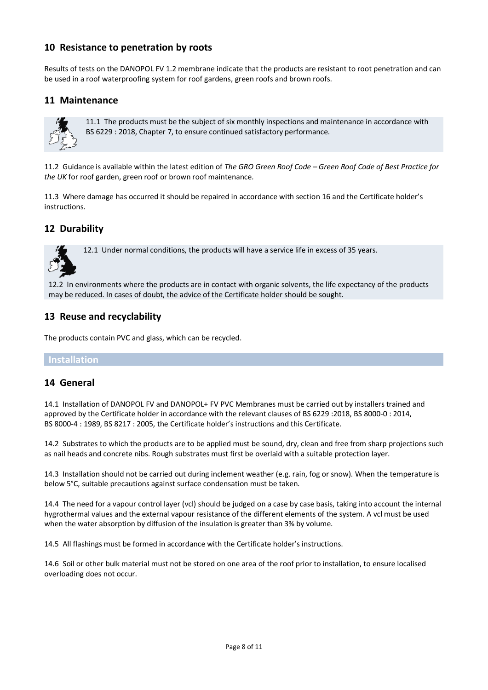# **10 Resistance to penetration by roots**

Results of tests on the DANOPOL FV 1.2 membrane indicate that the products are resistant to root penetration and can be used in a roof waterproofing system for roof gardens, green roofs and brown roofs.

# **11 Maintenance**



11.1 The products must be the subject of six monthly inspections and maintenance in accordance with BS 6229 : 2018, Chapter 7, to ensure continued satisfactory performance.

11.2 Guidance is available within the latest edition of *The GRO Green Roof Code – Green Roof Code of Best Practice for the UK* for roof garden, green roof or brown roof maintenance*.*

11.3 Where damage has occurred it should be repaired in accordance with section 16 and the Certificate holder's instructions.

# **12 Durability**



12.1 Under normal conditions, the products will have a service life in excess of 35 years.

12.2 In environments where the products are in contact with organic solvents, the life expectancy of the products may be reduced. In cases of doubt, the advice of the Certificate holder should be sought.

# **13 Reuse and recyclability**

The products contain PVC and glass, which can be recycled.

#### **Installation**

#### **14 General**

14.1 Installation of DANOPOL FV and DANOPOL+ FV PVC Membranes must be carried out by installers trained and approved by the Certificate holder in accordance with the relevant clauses of BS 6229 :2018, BS 8000-0 : 2014, BS 8000-4 : 1989, BS 8217 : 2005, the Certificate holder's instructions and this Certificate.

14.2 Substrates to which the products are to be applied must be sound, dry, clean and free from sharp projections such as nail heads and concrete nibs. Rough substrates must first be overlaid with a suitable protection layer.

14.3 Installation should not be carried out during inclement weather (e.g. rain, fog or snow). When the temperature is below 5°C, suitable precautions against surface condensation must be taken.

14.4 The need for a vapour control layer (vcl) should be judged on a case by case basis, taking into account the internal hygrothermal values and the external vapour resistance of the different elements of the system. A vcl must be used when the water absorption by diffusion of the insulation is greater than 3% by volume.

14.5 All flashings must be formed in accordance with the Certificate holder's instructions.

14.6 Soil or other bulk material must not be stored on one area of the roof prior to installation, to ensure localised overloading does not occur.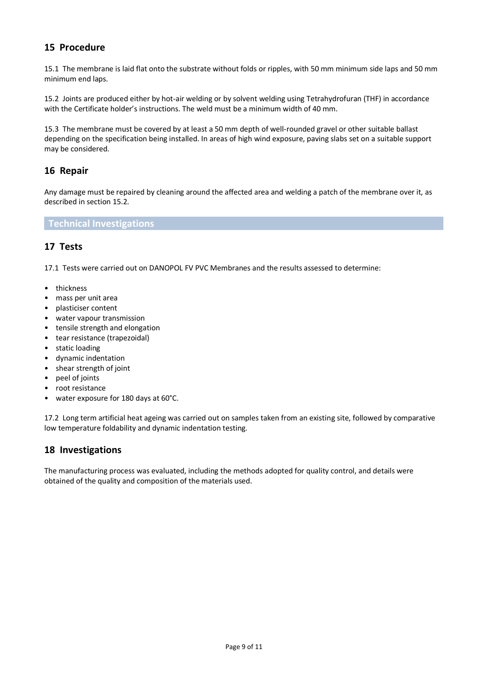# **15 Procedure**

15.1 The membrane is laid flat onto the substrate without folds or ripples, with 50 mm minimum side laps and 50 mm minimum end laps.

15.2 Joints are produced either by hot-air welding or by solvent welding using Tetrahydrofuran (THF) in accordance with the Certificate holder's instructions. The weld must be a minimum width of 40 mm.

15.3 The membrane must be covered by at least a 50 mm depth of well-rounded gravel or other suitable ballast depending on the specification being installed. In areas of high wind exposure, paving slabs set on a suitable support may be considered.

#### **16 Repair**

Any damage must be repaired by cleaning around the affected area and welding a patch of the membrane over it, as described in section 15.2.

#### **Technical Investigations**

# **17 Tests**

17.1 Tests were carried out on DANOPOL FV PVC Membranes and the results assessed to determine:

- thickness
- mass per unit area
- plasticiser content
- water vapour transmission
- tensile strength and elongation
- tear resistance (trapezoidal)
- static loading
- dynamic indentation
- shear strength of joint
- peel of joints
- root resistance
- water exposure for 180 days at 60°C.

17.2 Long term artificial heat ageing was carried out on samples taken from an existing site, followed by comparative low temperature foldability and dynamic indentation testing.

#### **18 Investigations**

The manufacturing process was evaluated, including the methods adopted for quality control, and details were obtained of the quality and composition of the materials used.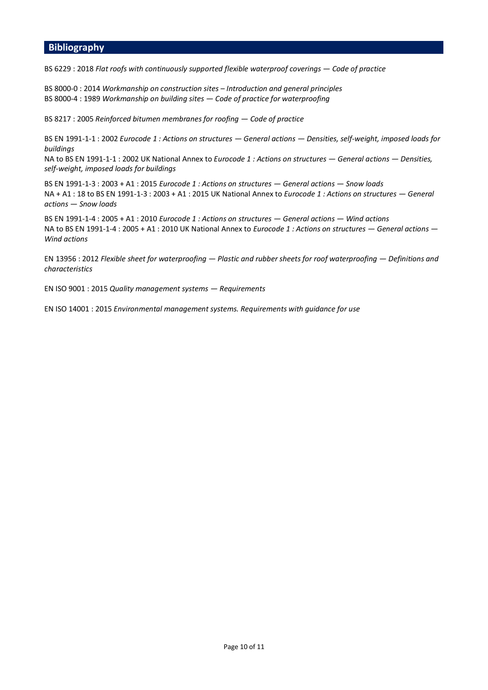#### **Bibliography**

BS 6229 : 2018 *Flat roofs with continuously supported flexible waterproof coverings — Code of practice* 

BS 8000-0 : 2014 *Workmanship on construction sites – Introduction and general principles*  BS 8000-4 : 1989 *Workmanship on building sites — Code of practice for waterproofing* 

BS 8217 : 2005 *Reinforced bitumen membranes for roofing — Code of practice* 

BS EN 1991-1-1 : 2002 *Eurocode 1 : Actions on structures — General actions — Densities, self-weight, imposed loads for buildings* 

NA to BS EN 1991-1-1 : 2002 UK National Annex to *Eurocode 1 : Actions on structures — General actions — Densities, self-weight, imposed loads for buildings* 

BS EN 1991-1-3 : 2003 + A1 : 2015 *Eurocode 1 : Actions on structures — General actions — Snow loads*  NA + A1 : 18 to BS EN 1991-1-3 : 2003 + A1 : 2015 UK National Annex to *Eurocode 1 : Actions on structures — General actions — Snow loads* 

BS EN 1991-1-4 : 2005 + A1 : 2010 *Eurocode 1 : Actions on structures — General actions — Wind actions*  NA to BS EN 1991-1-4 : 2005 + A1 : 2010 UK National Annex to *Eurocode 1 : Actions on structures — General actions — Wind actions* 

EN 13956 : 2012 *Flexible sheet for waterproofing — Plastic and rubber sheets for roof waterproofing — Definitions and characteristics* 

EN ISO 9001 : 2015 *Quality management systems — Requirements* 

EN ISO 14001 : 2015 *Environmental management systems. Requirements with guidance for use*